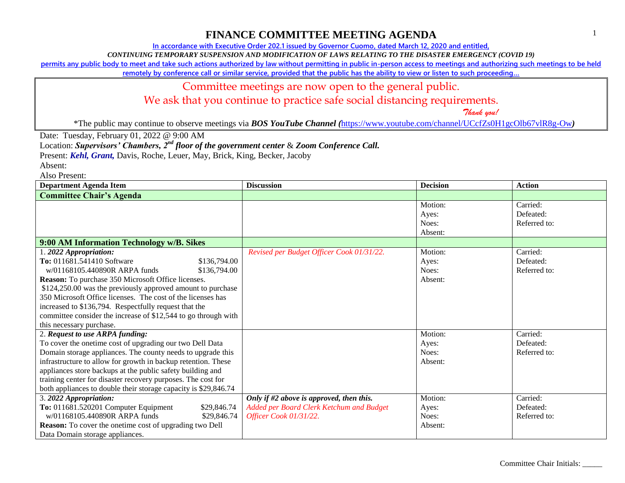**In accordance with Executive Order 202.1 issued by Governor Cuomo, dated March 12, 2020 and entitled,**

*CONTINUING TEMPORARY SUSPENSION AND MODIFICATION OF LAWS RELATING TO THE DISASTER EMERGENCY (COVID 19)*

**permits any public body to meet and take such actions authorized by law without permitting in public in-person access to meetings and authorizing such meetings to be held** 

**remotely by conference call or similar service, provided that the public has the ability to view or listen to such proceeding…**

### Committee meetings are now open to the general public.

We ask that you continue to practice safe social distancing requirements.

 *Thank you!*

\*The public may continue to observe meetings via *BOS YouTube Channel (*<https://www.youtube.com/channel/UCcfZs0H1gcOlb67vlR8g-Ow>*)*

Date: Tuesday, February 01, 2022 @ 9:00 AM

Location: *Supervisors' Chambers, 2nd floor of the government center* & *Zoom Conference Call.*

Present: *Kehl, Grant,* Davis, Roche, Leuer, May, Brick, King, Becker, Jacoby

Absent:

| <b>Department Agenda Item</b>                                                                                                                                                                                                                                                                                                                                                                                                                                   | <b>Discussion</b>                                                  | <b>Decision</b>                      | <b>Action</b>                         |
|-----------------------------------------------------------------------------------------------------------------------------------------------------------------------------------------------------------------------------------------------------------------------------------------------------------------------------------------------------------------------------------------------------------------------------------------------------------------|--------------------------------------------------------------------|--------------------------------------|---------------------------------------|
| <b>Committee Chair's Agenda</b>                                                                                                                                                                                                                                                                                                                                                                                                                                 |                                                                    |                                      |                                       |
|                                                                                                                                                                                                                                                                                                                                                                                                                                                                 |                                                                    | Motion:<br>Ayes:<br>Noes:<br>Absent: | Carried:<br>Defeated:<br>Referred to: |
| 9:00 AM Information Technology w/B. Sikes                                                                                                                                                                                                                                                                                                                                                                                                                       |                                                                    |                                      |                                       |
| 1.2022 Appropriation:<br>To: 011681.541410 Software<br>\$136,794.00<br>w/01168105.440890R ARPA funds<br>\$136,794.00<br>Reason: To purchase 350 Microsoft Office licenses.<br>\$124,250.00 was the previously approved amount to purchase<br>350 Microsoft Office licenses. The cost of the licenses has<br>increased to \$136,794. Respectfully request that the<br>committee consider the increase of \$12,544 to go through with<br>this necessary purchase. | Revised per Budget Officer Cook 01/31/22.                          | Motion:<br>Ayes:<br>Noes:<br>Absent: | Carried:<br>Defeated:<br>Referred to: |
| 2. Request to use ARPA funding:                                                                                                                                                                                                                                                                                                                                                                                                                                 |                                                                    | Motion:                              | Carried:                              |
| To cover the onetime cost of upgrading our two Dell Data<br>Domain storage appliances. The county needs to upgrade this<br>infrastructure to allow for growth in backup retention. These<br>appliances store backups at the public safety building and<br>training center for disaster recovery purposes. The cost for<br>both appliances to double their storage capacity is \$29,846.74                                                                       |                                                                    | Ayes:<br>Noes:<br>Absent:            | Defeated:<br>Referred to:             |
| 3. 2022 Appropriation:                                                                                                                                                                                                                                                                                                                                                                                                                                          | Only if #2 above is approved, then this.                           | Motion:                              | Carried:                              |
| To: 011681.520201 Computer Equipment<br>\$29,846.74<br>w/01168105.440890R ARPA funds<br>\$29,846.74<br>Reason: To cover the onetime cost of upgrading two Dell<br>Data Domain storage appliances.                                                                                                                                                                                                                                                               | Added per Board Clerk Ketchum and Budget<br>Officer Cook 01/31/22. | Ayes:<br>Noes:<br>Absent:            | Defeated:<br>Referred to:             |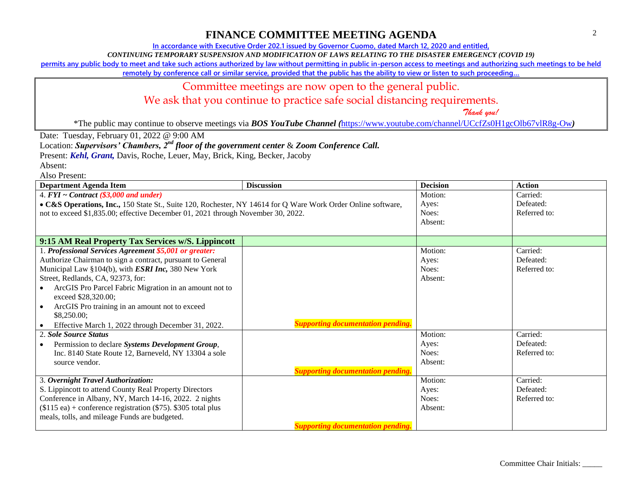**In accordance with Executive Order 202.1 issued by Governor Cuomo, dated March 12, 2020 and entitled,**

*CONTINUING TEMPORARY SUSPENSION AND MODIFICATION OF LAWS RELATING TO THE DISASTER EMERGENCY (COVID 19)*

**permits any public body to meet and take such actions authorized by law without permitting in public in-person access to meetings and authorizing such meetings to be held** 

**remotely by conference call or similar service, provided that the public has the ability to view or listen to such proceeding…**

#### Committee meetings are now open to the general public.

We ask that you continue to practice safe social distancing requirements.

 *Thank you!*

\*The public may continue to observe meetings via *BOS YouTube Channel (*<https://www.youtube.com/channel/UCcfZs0H1gcOlb67vlR8g-Ow>*)*

Date: Tuesday, February 01, 2022 @ 9:00 AM

Location: *Supervisors' Chambers, 2nd floor of the government center* & *Zoom Conference Call.*

Present: *Kehl, Grant,* Davis, Roche, Leuer, May, Brick, King, Becker, Jacoby

Absent:

| <b>Department Agenda Item</b>                                                                                | <b>Discussion</b>                        | <b>Decision</b> | <b>Action</b> |
|--------------------------------------------------------------------------------------------------------------|------------------------------------------|-----------------|---------------|
| 4. $FYI \sim Contract$ (\$3,000 and under)                                                                   |                                          | Motion:         | Carried:      |
| • C&S Operations, Inc., 150 State St., Suite 120, Rochester, NY 14614 for Q Ware Work Order Online software, |                                          | Ayes:           | Defeated:     |
| not to exceed \$1,835.00; effective December 01, 2021 through November 30, 2022.                             |                                          | Noes:           | Referred to:  |
|                                                                                                              |                                          | Absent:         |               |
|                                                                                                              |                                          |                 |               |
| 9:15 AM Real Property Tax Services w/S. Lippincott                                                           |                                          |                 |               |
| 1. Professional Services Agreement \$5,001 or greater:                                                       |                                          | Motion:         | Carried:      |
| Authorize Chairman to sign a contract, pursuant to General                                                   |                                          | Ayes:           | Defeated:     |
| Municipal Law §104(b), with <i>ESRI Inc</i> , 380 New York                                                   |                                          | Noes:           | Referred to:  |
| Street, Redlands, CA, 92373, for:                                                                            |                                          | Absent:         |               |
| ArcGIS Pro Parcel Fabric Migration in an amount not to                                                       |                                          |                 |               |
| exceed \$28,320.00;                                                                                          |                                          |                 |               |
| ArcGIS Pro training in an amount not to exceed                                                               |                                          |                 |               |
| \$8,250.00;                                                                                                  |                                          |                 |               |
| Effective March 1, 2022 through December 31, 2022.                                                           | <b>Supporting documentation pending.</b> |                 |               |
| 2. Sole Source Status                                                                                        |                                          | Motion:         | Carried:      |
| Permission to declare Systems Development Group,<br>$\bullet$                                                |                                          | Ayes:           | Defeated:     |
| Inc. 8140 State Route 12, Barneveld, NY 13304 a sole                                                         |                                          | Noes:           | Referred to:  |
| source vendor.                                                                                               |                                          | Absent:         |               |
|                                                                                                              | <b>Supporting documentation pending.</b> |                 |               |
| 3. Overnight Travel Authorization:                                                                           |                                          | Motion:         | Carried:      |
| S. Lippincott to attend County Real Property Directors                                                       |                                          | Ayes:           | Defeated:     |
| Conference in Albany, NY, March 14-16, 2022. 2 nights                                                        |                                          | Noes:           | Referred to:  |
| $($115$ ea) + conference registration $($75)$ . \$305 total plus                                             |                                          | Absent:         |               |
| meals, tolls, and mileage Funds are budgeted.                                                                |                                          |                 |               |
|                                                                                                              | <b>Supporting documentation pending.</b> |                 |               |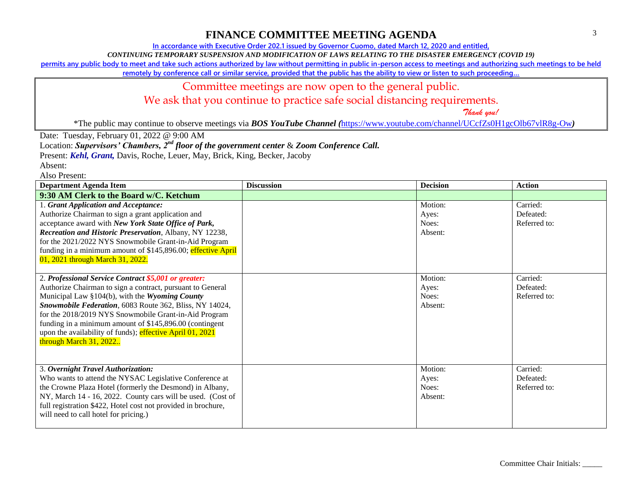**In accordance with Executive Order 202.1 issued by Governor Cuomo, dated March 12, 2020 and entitled,**

*CONTINUING TEMPORARY SUSPENSION AND MODIFICATION OF LAWS RELATING TO THE DISASTER EMERGENCY (COVID 19)*

**permits any public body to meet and take such actions authorized by law without permitting in public in-person access to meetings and authorizing such meetings to be held** 

**remotely by conference call or similar service, provided that the public has the ability to view or listen to such proceeding…**

### Committee meetings are now open to the general public.

We ask that you continue to practice safe social distancing requirements.

 *Thank you!*

\*The public may continue to observe meetings via *BOS YouTube Channel (*<https://www.youtube.com/channel/UCcfZs0H1gcOlb67vlR8g-Ow>*)*

Date: Tuesday, February 01, 2022 @ 9:00 AM

Location: *Supervisors' Chambers, 2nd floor of the government center* & *Zoom Conference Call.*

Present: *Kehl, Grant,* Davis, Roche, Leuer, May, Brick, King, Becker, Jacoby

Absent:

| <b>Department Agenda Item</b>                                                                                                                                                                                                                                                                                                                                                                                                                   | <b>Discussion</b> | <b>Decision</b>                      | <b>Action</b>                         |
|-------------------------------------------------------------------------------------------------------------------------------------------------------------------------------------------------------------------------------------------------------------------------------------------------------------------------------------------------------------------------------------------------------------------------------------------------|-------------------|--------------------------------------|---------------------------------------|
| 9:30 AM Clerk to the Board w/C. Ketchum                                                                                                                                                                                                                                                                                                                                                                                                         |                   |                                      |                                       |
| 1. Grant Application and Acceptance:<br>Authorize Chairman to sign a grant application and<br>acceptance award with New York State Office of Park,<br>Recreation and Historic Preservation, Albany, NY 12238,<br>for the 2021/2022 NYS Snowmobile Grant-in-Aid Program<br>funding in a minimum amount of \$145,896.00; effective April<br>01, 2021 through March 31, 2022.                                                                      |                   | Motion:<br>Ayes:<br>Noes:<br>Absent: | Carried:<br>Defeated:<br>Referred to: |
| 2. Professional Service Contract \$5,001 or greater:<br>Authorize Chairman to sign a contract, pursuant to General<br>Municipal Law §104(b), with the Wyoming County<br>Snowmobile Federation, 6083 Route 362, Bliss, NY 14024,<br>for the 2018/2019 NYS Snowmobile Grant-in-Aid Program<br>funding in a minimum amount of \$145,896.00 (contingent<br>upon the availability of funds); effective April $01$ , $2021$<br>through March 31, 2022 |                   | Motion:<br>Ayes:<br>Noes:<br>Absent: | Carried:<br>Defeated:<br>Referred to: |
| 3. Overnight Travel Authorization:<br>Who wants to attend the NYSAC Legislative Conference at<br>the Crowne Plaza Hotel (formerly the Desmond) in Albany,<br>NY, March 14 - 16, 2022. County cars will be used. (Cost of<br>full registration \$422, Hotel cost not provided in brochure,<br>will need to call hotel for pricing.)                                                                                                              |                   | Motion:<br>Ayes:<br>Noes:<br>Absent: | Carried:<br>Defeated:<br>Referred to: |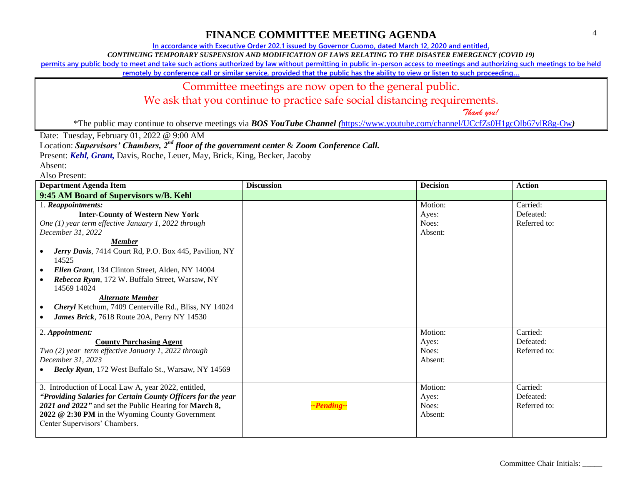**In accordance with Executive Order 202.1 issued by Governor Cuomo, dated March 12, 2020 and entitled,**

*CONTINUING TEMPORARY SUSPENSION AND MODIFICATION OF LAWS RELATING TO THE DISASTER EMERGENCY (COVID 19)*

**permits any public body to meet and take such actions authorized by law without permitting in public in-person access to meetings and authorizing such meetings to be held** 

**remotely by conference call or similar service, provided that the public has the ability to view or listen to such proceeding…**

### Committee meetings are now open to the general public.

We ask that you continue to practice safe social distancing requirements.

 *Thank you!*

\*The public may continue to observe meetings via *BOS YouTube Channel (*<https://www.youtube.com/channel/UCcfZs0H1gcOlb67vlR8g-Ow>*)*

Date: Tuesday, February 01, 2022 @ 9:00 AM

Location: *Supervisors' Chambers, 2nd floor of the government center* & *Zoom Conference Call.*

Present: *Kehl, Grant,* Davis, Roche, Leuer, May, Brick, King, Becker, Jacoby

Absent:

| <b>Department Agenda Item</b>                                                                                                                                                                                                                                                                                                                                                                                                                                                                                    | <b>Discussion</b> | <b>Decision</b>                                                              | <b>Action</b>                                                                  |
|------------------------------------------------------------------------------------------------------------------------------------------------------------------------------------------------------------------------------------------------------------------------------------------------------------------------------------------------------------------------------------------------------------------------------------------------------------------------------------------------------------------|-------------------|------------------------------------------------------------------------------|--------------------------------------------------------------------------------|
| 9:45 AM Board of Supervisors w/B. Kehl                                                                                                                                                                                                                                                                                                                                                                                                                                                                           |                   |                                                                              |                                                                                |
| 1. Reappointments:<br><b>Inter-County of Western New York</b><br>One (1) year term effective January 1, 2022 through<br>December 31, 2022<br><b>Member</b><br>Jerry Davis, 7414 Court Rd, P.O. Box 445, Pavilion, NY<br>14525<br>Ellen Grant, 134 Clinton Street, Alden, NY 14004<br>$\bullet$<br>Rebecca Ryan, 172 W. Buffalo Street, Warsaw, NY<br>14569 14024<br><b>Alternate Member</b><br>Cheryl Ketchum, 7409 Centerville Rd., Bliss, NY 14024<br>$\bullet$<br>James Brick, 7618 Route 20A, Perry NY 14530 |                   | Motion:<br>Ayes:<br>Noes:<br>Absent:                                         | Carried:<br>Defeated:<br>Referred to:                                          |
| 2. Appointment:<br><b>County Purchasing Agent</b><br>Two (2) year term effective January 1, 2022 through<br>December 31, 2023<br>Becky Ryan, 172 West Buffalo St., Warsaw, NY 14569<br>3. Introduction of Local Law A, year 2022, entitled,<br>"Providing Salaries for Certain County Officers for the year<br>2021 and 2022" and set the Public Hearing for March 8,<br>2022 @ 2:30 PM in the Wyoming County Government<br>Center Supervisors' Chambers.                                                        | ~Pending~         | Motion:<br>Ayes:<br>Noes:<br>Absent:<br>Motion:<br>Ayes:<br>Noes:<br>Absent: | Carried:<br>Defeated:<br>Referred to:<br>Carried:<br>Defeated:<br>Referred to: |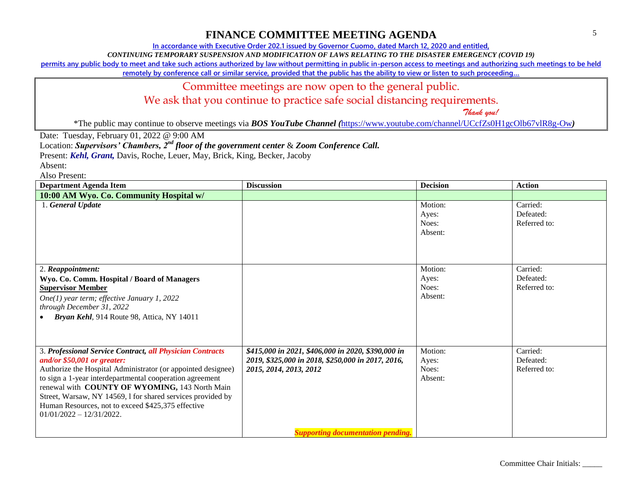**In accordance with Executive Order 202.1 issued by Governor Cuomo, dated March 12, 2020 and entitled,**

*CONTINUING TEMPORARY SUSPENSION AND MODIFICATION OF LAWS RELATING TO THE DISASTER EMERGENCY (COVID 19)*

**permits any public body to meet and take such actions authorized by law without permitting in public in-person access to meetings and authorizing such meetings to be held** 

**remotely by conference call or similar service, provided that the public has the ability to view or listen to such proceeding…**

#### Committee meetings are now open to the general public.

We ask that you continue to practice safe social distancing requirements.

 *Thank you!*

\*The public may continue to observe meetings via *BOS YouTube Channel (*<https://www.youtube.com/channel/UCcfZs0H1gcOlb67vlR8g-Ow>*)*

Date: Tuesday, February 01, 2022 @ 9:00 AM

Location: *Supervisors' Chambers, 2nd floor of the government center* & *Zoom Conference Call.*

Present: *Kehl, Grant,* Davis, Roche, Leuer, May, Brick, King, Becker, Jacoby

Absent:

| <b>Department Agenda Item</b>                                                                                                                                                                                                                                                                                                                                                                                              | <b>Discussion</b>                                                                                                                 | <b>Decision</b>                      | <b>Action</b>                         |
|----------------------------------------------------------------------------------------------------------------------------------------------------------------------------------------------------------------------------------------------------------------------------------------------------------------------------------------------------------------------------------------------------------------------------|-----------------------------------------------------------------------------------------------------------------------------------|--------------------------------------|---------------------------------------|
| 10:00 AM Wyo. Co. Community Hospital w/                                                                                                                                                                                                                                                                                                                                                                                    |                                                                                                                                   |                                      |                                       |
| 1. General Update                                                                                                                                                                                                                                                                                                                                                                                                          |                                                                                                                                   | Motion:<br>Ayes:<br>Noes:<br>Absent: | Carried:<br>Defeated:<br>Referred to: |
| 2. Reappointment:<br>Wyo. Co. Comm. Hospital / Board of Managers<br><b>Supervisor Member</b><br>One(1) year term; effective January 1, 2022<br>through December 31, 2022<br>Bryan Kehl, 914 Route 98, Attica, NY 14011                                                                                                                                                                                                     |                                                                                                                                   | Motion:<br>Ayes:<br>Noes:<br>Absent: | Carried:<br>Defeated:<br>Referred to: |
| 3. Professional Service Contract, all Physician Contracts<br>and/or $$50,001$ or greater:<br>Authorize the Hospital Administrator (or appointed designee)<br>to sign a 1-year interdepartmental cooperation agreement<br>renewal with COUNTY OF WYOMING, 143 North Main<br>Street, Warsaw, NY 14569, 1 for shared services provided by<br>Human Resources, not to exceed \$425,375 effective<br>$01/01/2022 - 12/31/2022.$ | \$415,000 in 2021, \$406,000 in 2020, \$390,000 in<br>2019, \$325,000 in 2018, \$250,000 in 2017, 2016,<br>2015, 2014, 2013, 2012 | Motion:<br>Ayes:<br>Noes:<br>Absent: | Carried:<br>Defeated:<br>Referred to: |
|                                                                                                                                                                                                                                                                                                                                                                                                                            | <b>Supporting documentation pending.</b>                                                                                          |                                      |                                       |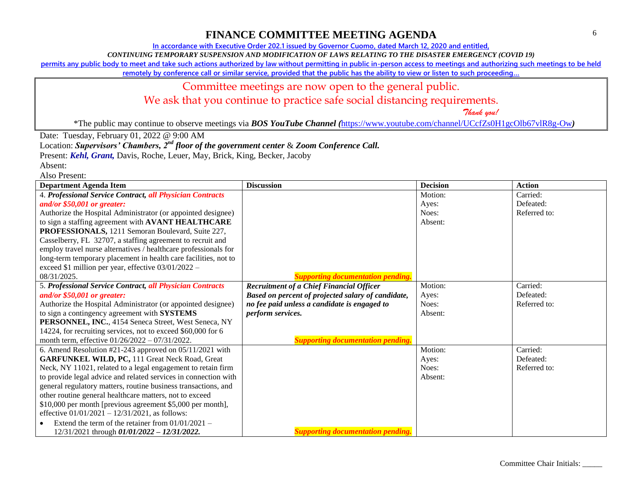**In accordance with Executive Order 202.1 issued by Governor Cuomo, dated March 12, 2020 and entitled,**

*CONTINUING TEMPORARY SUSPENSION AND MODIFICATION OF LAWS RELATING TO THE DISASTER EMERGENCY (COVID 19)*

**permits any public body to meet and take such actions authorized by law without permitting in public in-person access to meetings and authorizing such meetings to be held** 

**remotely by conference call or similar service, provided that the public has the ability to view or listen to such proceeding…**

## Committee meetings are now open to the general public.

We ask that you continue to practice safe social distancing requirements.

 *Thank you!*

\*The public may continue to observe meetings via *BOS YouTube Channel (*<https://www.youtube.com/channel/UCcfZs0H1gcOlb67vlR8g-Ow>*)*

Date: Tuesday, February 01, 2022 @ 9:00 AM

Location: *Supervisors' Chambers, 2nd floor of the government center* & *Zoom Conference Call.*

Present: *Kehl, Grant,* Davis, Roche, Leuer, May, Brick, King, Becker, Jacoby

Absent: Also Present:

| <b>Department Agenda Item</b>                                   | <b>Discussion</b>                                  | <b>Decision</b> | <b>Action</b> |
|-----------------------------------------------------------------|----------------------------------------------------|-----------------|---------------|
| 4. Professional Service Contract, all Physician Contracts       |                                                    | Motion:         | Carried:      |
| and/or \$50,001 or greater:                                     |                                                    | Ayes:           | Defeated:     |
| Authorize the Hospital Administrator (or appointed designee)    |                                                    | Noes:           | Referred to:  |
| to sign a staffing agreement with AVANT HEALTHCARE              |                                                    | Absent:         |               |
| PROFESSIONALS, 1211 Semoran Boulevard, Suite 227,               |                                                    |                 |               |
| Casselberry, FL 32707, a staffing agreement to recruit and      |                                                    |                 |               |
| employ travel nurse alternatives / healthcare professionals for |                                                    |                 |               |
| long-term temporary placement in health care facilities, not to |                                                    |                 |               |
| exceed \$1 million per year, effective $03/01/2022 -$           |                                                    |                 |               |
| 08/31/2025.                                                     | <b>Supporting documentation pending.</b>           |                 |               |
| 5. Professional Service Contract, all Physician Contracts       | Recruitment of a Chief Financial Officer           | Motion:         | Carried:      |
| and/or $$50,001$ or greater:                                    | Based on percent of projected salary of candidate, | Ayes:           | Defeated:     |
| Authorize the Hospital Administrator (or appointed designee)    | no fee paid unless a candidate is engaged to       | Noes:           | Referred to:  |
| to sign a contingency agreement with SYSTEMS                    | perform services.                                  | Absent:         |               |
| PERSONNEL, INC., 4154 Seneca Street, West Seneca, NY            |                                                    |                 |               |
| 14224, for recruiting services, not to exceed \$60,000 for 6    |                                                    |                 |               |
| month term, effective 01/26/2022 - 07/31/2022.                  | <b>Supporting documentation pending.</b>           |                 |               |
| 6. Amend Resolution #21-243 approved on $05/11/2021$ with       |                                                    | Motion:         | Carried:      |
| <b>GARFUNKEL WILD, PC, 111 Great Neck Road, Great</b>           |                                                    | Ayes:           | Defeated:     |
| Neck, NY 11021, related to a legal engagement to retain firm    |                                                    | Noes:           | Referred to:  |
| to provide legal advice and related services in connection with |                                                    | Absent:         |               |
| general regulatory matters, routine business transactions, and  |                                                    |                 |               |
| other routine general healthcare matters, not to exceed         |                                                    |                 |               |
| \$10,000 per month [previous agreement \$5,000 per month],      |                                                    |                 |               |
| effective $01/01/2021 - 12/31/2021$ , as follows:               |                                                    |                 |               |
| Extend the term of the retainer from $01/01/2021$ -             |                                                    |                 |               |
| 12/31/2021 through 01/01/2022 - 12/31/2022.                     | <b>Supporting documentation pending.</b>           |                 |               |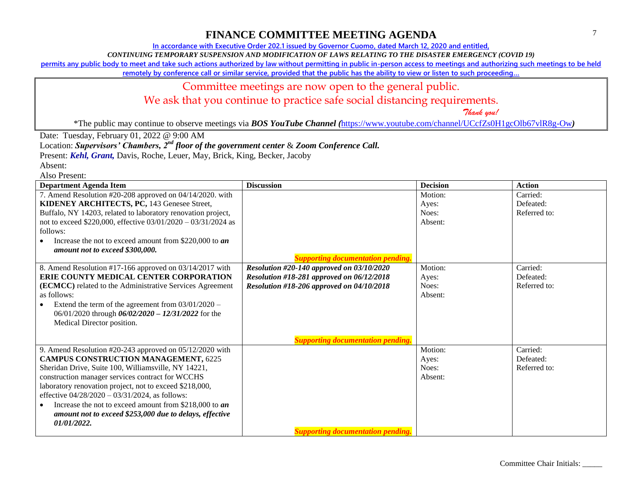**In accordance with Executive Order 202.1 issued by Governor Cuomo, dated March 12, 2020 and entitled,**

*CONTINUING TEMPORARY SUSPENSION AND MODIFICATION OF LAWS RELATING TO THE DISASTER EMERGENCY (COVID 19)*

**permits any public body to meet and take such actions authorized by law without permitting in public in-person access to meetings and authorizing such meetings to be held** 

**remotely by conference call or similar service, provided that the public has the ability to view or listen to such proceeding…**

## Committee meetings are now open to the general public.

We ask that you continue to practice safe social distancing requirements.

 *Thank you!*

\*The public may continue to observe meetings via *BOS YouTube Channel (*<https://www.youtube.com/channel/UCcfZs0H1gcOlb67vlR8g-Ow>*)*

Date: Tuesday, February 01, 2022 @ 9:00 AM

Location: *Supervisors' Chambers, 2nd floor of the government center* & *Zoom Conference Call.*

Present: *Kehl, Grant,* Davis, Roche, Leuer, May, Brick, King, Becker, Jacoby

Absent:

| <b>Department Agenda Item</b>                                                                                                                                                                                                                                                                                                                                                                                                                                                | <b>Discussion</b>                                                                                                                                                               | <b>Decision</b>                      | <b>Action</b>                         |
|------------------------------------------------------------------------------------------------------------------------------------------------------------------------------------------------------------------------------------------------------------------------------------------------------------------------------------------------------------------------------------------------------------------------------------------------------------------------------|---------------------------------------------------------------------------------------------------------------------------------------------------------------------------------|--------------------------------------|---------------------------------------|
| 7. Amend Resolution #20-208 approved on 04/14/2020. with<br>KIDENEY ARCHITECTS, PC, 143 Genesee Street,<br>Buffalo, NY 14203, related to laboratory renovation project,<br>not to exceed \$220,000, effective 03/01/2020 - 03/31/2024 as<br>follows:<br>Increase the not to exceed amount from \$220,000 to $an$<br>amount not to exceed \$300,000.                                                                                                                          | <b>Supporting documentation pending.</b>                                                                                                                                        | Motion:<br>Ayes:<br>Noes:<br>Absent: | Carried:<br>Defeated:<br>Referred to: |
| 8. Amend Resolution #17-166 approved on 03/14/2017 with<br>ERIE COUNTY MEDICAL CENTER CORPORATION<br>(ECMCC) related to the Administrative Services Agreement<br>as follows:<br>Extend the term of the agreement from $03/01/2020$ –<br>06/01/2020 through 06/02/2020 - 12/31/2022 for the<br>Medical Director position.                                                                                                                                                     | Resolution #20-140 approved on 03/10/2020<br>Resolution #18-281 approved on 06/12/2018<br>Resolution #18-206 approved on 04/10/2018<br><b>Supporting documentation pending.</b> | Motion:<br>Ayes:<br>Noes:<br>Absent: | Carried:<br>Defeated:<br>Referred to: |
| 9. Amend Resolution #20-243 approved on 05/12/2020 with<br><b>CAMPUS CONSTRUCTION MANAGEMENT, 6225</b><br>Sheridan Drive, Suite 100, Williamsville, NY 14221,<br>construction manager services contract for WCCHS<br>laboratory renovation project, not to exceed \$218,000,<br>effective $04/28/2020 - 03/31/2024$ , as follows:<br>Increase the not to exceed amount from \$218,000 to <i>an</i><br>amount not to exceed \$253,000 due to delays, effective<br>01/01/2022. | <b>Supporting documentation pending.</b>                                                                                                                                        | Motion:<br>Ayes:<br>Noes:<br>Absent: | Carried:<br>Defeated:<br>Referred to: |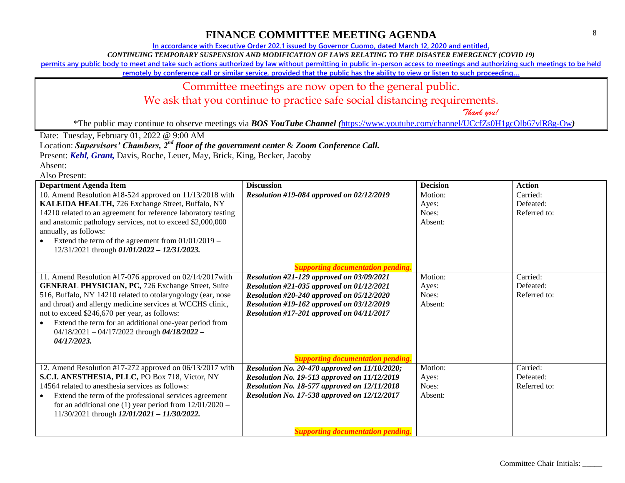**In accordance with Executive Order 202.1 issued by Governor Cuomo, dated March 12, 2020 and entitled,**

*CONTINUING TEMPORARY SUSPENSION AND MODIFICATION OF LAWS RELATING TO THE DISASTER EMERGENCY (COVID 19)*

**permits any public body to meet and take such actions authorized by law without permitting in public in-person access to meetings and authorizing such meetings to be held** 

**remotely by conference call or similar service, provided that the public has the ability to view or listen to such proceeding…**

### Committee meetings are now open to the general public.

We ask that you continue to practice safe social distancing requirements.

 *Thank you!*

\*The public may continue to observe meetings via *BOS YouTube Channel (*<https://www.youtube.com/channel/UCcfZs0H1gcOlb67vlR8g-Ow>*)*

Date: Tuesday, February 01, 2022 @ 9:00 AM

Location: *Supervisors' Chambers, 2nd floor of the government center* & *Zoom Conference Call.*

Present: *Kehl, Grant,* Davis, Roche, Leuer, May, Brick, King, Becker, Jacoby

Absent: Also Present:

| <b>Department Agenda Item</b>                                  | <b>Discussion</b>                             | <b>Decision</b> | <b>Action</b> |
|----------------------------------------------------------------|-----------------------------------------------|-----------------|---------------|
| 10. Amend Resolution #18-524 approved on 11/13/2018 with       | Resolution #19-084 approved on 02/12/2019     | Motion:         | Carried:      |
| KALEIDA HEALTH, 726 Exchange Street, Buffalo, NY               |                                               | Ayes:           | Defeated:     |
| 14210 related to an agreement for reference laboratory testing |                                               | Noes:           | Referred to:  |
| and anatomic pathology services, not to exceed \$2,000,000     |                                               | Absent:         |               |
| annually, as follows:                                          |                                               |                 |               |
| Extend the term of the agreement from $01/01/2019 -$           |                                               |                 |               |
| 12/31/2021 through 01/01/2022 - 12/31/2023.                    |                                               |                 |               |
|                                                                |                                               |                 |               |
|                                                                | ting documentation pending.                   |                 |               |
| 11. Amend Resolution #17-076 approved on 02/14/2017 with       | Resolution #21-129 approved on 03/09/2021     | Motion:         | Carried:      |
| <b>GENERAL PHYSICIAN, PC, 726 Exchange Street, Suite</b>       | Resolution #21-035 approved on 01/12/2021     | Ayes:           | Defeated:     |
| 516, Buffalo, NY 14210 related to otolaryngology (ear, nose    | Resolution #20-240 approved on 05/12/2020     | Noes:           | Referred to:  |
| and throat) and allergy medicine services at WCCHS clinic,     | Resolution #19-162 approved on 03/12/2019     | Absent:         |               |
| not to exceed \$246,670 per year, as follows:                  | Resolution #17-201 approved on 04/11/2017     |                 |               |
| Extend the term for an additional one-year period from         |                                               |                 |               |
| $04/18/2021 - 04/17/2022$ through $04/18/2022 -$               |                                               |                 |               |
| 04/17/2023.                                                    |                                               |                 |               |
|                                                                |                                               |                 |               |
|                                                                | <b>Supporting documentation pending.</b>      |                 |               |
| 12. Amend Resolution #17-272 approved on 06/13/2017 with       | Resolution No. 20-470 approved on 11/10/2020; | Motion:         | Carried:      |
| S.C.I. ANESTHESIA, PLLC, PO Box 718, Victor, NY                | Resolution No. 19-513 approved on 11/12/2019  | Ayes:           | Defeated:     |
| 14564 related to anesthesia services as follows:               | Resolution No. 18-577 approved on 12/11/2018  | Noes:           | Referred to:  |
| Extend the term of the professional services agreement         | Resolution No. 17-538 approved on 12/12/2017  | Absent:         |               |
| for an additional one (1) year period from $12/01/2020$ –      |                                               |                 |               |
| $11/30/2021$ through $12/01/2021 - 11/30/2022$ .               |                                               |                 |               |
|                                                                |                                               |                 |               |
|                                                                | <b>Supporting documentation pending.</b>      |                 |               |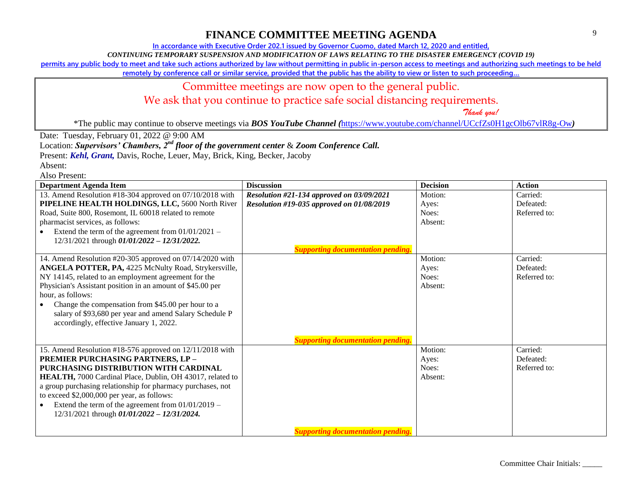**In accordance with Executive Order 202.1 issued by Governor Cuomo, dated March 12, 2020 and entitled,**

*CONTINUING TEMPORARY SUSPENSION AND MODIFICATION OF LAWS RELATING TO THE DISASTER EMERGENCY (COVID 19)*

**permits any public body to meet and take such actions authorized by law without permitting in public in-person access to meetings and authorizing such meetings to be held** 

**remotely by conference call or similar service, provided that the public has the ability to view or listen to such proceeding…**

### Committee meetings are now open to the general public.

We ask that you continue to practice safe social distancing requirements.

 *Thank you!*

\*The public may continue to observe meetings via *BOS YouTube Channel (*<https://www.youtube.com/channel/UCcfZs0H1gcOlb67vlR8g-Ow>*)*

Date: Tuesday, February 01, 2022 @ 9:00 AM

Location: *Supervisors' Chambers, 2nd floor of the government center* & *Zoom Conference Call.*

Present: *Kehl, Grant,* Davis, Roche, Leuer, May, Brick, King, Becker, Jacoby

Absent:

| <b>Department Agenda Item</b>                               | <b>Discussion</b>                         | <b>Decision</b> | <b>Action</b> |
|-------------------------------------------------------------|-------------------------------------------|-----------------|---------------|
| 13. Amend Resolution #18-304 approved on 07/10/2018 with    | Resolution #21-134 approved on 03/09/2021 | Motion:         | Carried:      |
| PIPELINE HEALTH HOLDINGS, LLC, 5600 North River             | Resolution #19-035 approved on 01/08/2019 | Ayes:           | Defeated:     |
| Road, Suite 800, Rosemont, IL 60018 related to remote       |                                           | Noes:           | Referred to:  |
| pharmacist services, as follows:                            |                                           | Absent:         |               |
| Extend the term of the agreement from $01/01/2021$ –        |                                           |                 |               |
| 12/31/2021 through 01/01/2022 - 12/31/2022.                 |                                           |                 |               |
|                                                             | <b>Supporting documentation pending.</b>  |                 |               |
| 14. Amend Resolution #20-305 approved on 07/14/2020 with    |                                           | Motion:         | Carried:      |
| ANGELA POTTER, PA, 4225 McNulty Road, Strykersville,        |                                           | Ayes:           | Defeated:     |
| NY 14145, related to an employment agreement for the        |                                           | Noes:           | Referred to:  |
| Physician's Assistant position in an amount of \$45.00 per  |                                           | Absent:         |               |
| hour, as follows:                                           |                                           |                 |               |
| Change the compensation from \$45.00 per hour to a          |                                           |                 |               |
| salary of \$93,680 per year and amend Salary Schedule P     |                                           |                 |               |
| accordingly, effective January 1, 2022.                     |                                           |                 |               |
|                                                             |                                           |                 |               |
|                                                             | <b>Supporting documentation pending.</b>  |                 |               |
| 15. Amend Resolution #18-576 approved on 12/11/2018 with    |                                           | Motion:         | Carried:      |
| PREMIER PURCHASING PARTNERS, LP-                            |                                           | Ayes:           | Defeated:     |
| PURCHASING DISTRIBUTION WITH CARDINAL                       |                                           | Noes:           | Referred to:  |
| HEALTH, 7000 Cardinal Place, Dublin, OH 43017, related to   |                                           | Absent:         |               |
| a group purchasing relationship for pharmacy purchases, not |                                           |                 |               |
| to exceed \$2,000,000 per year, as follows:                 |                                           |                 |               |
| Extend the term of the agreement from $01/01/2019$ –        |                                           |                 |               |
| 12/31/2021 through 01/01/2022 - 12/31/2024.                 |                                           |                 |               |
|                                                             | <b>Supporting documentation pending.</b>  |                 |               |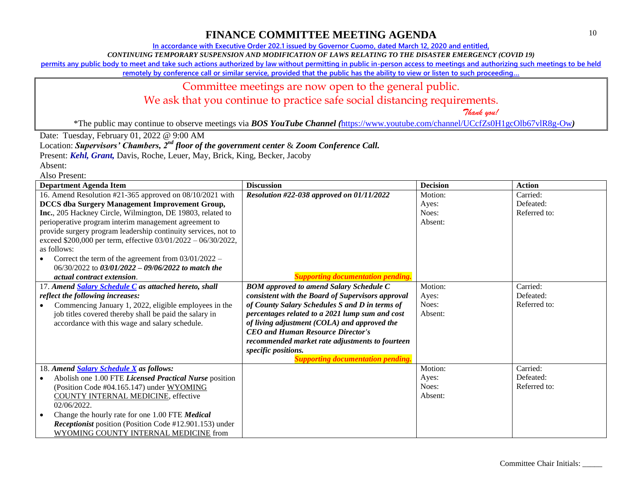**In accordance with Executive Order 202.1 issued by Governor Cuomo, dated March 12, 2020 and entitled,**

*CONTINUING TEMPORARY SUSPENSION AND MODIFICATION OF LAWS RELATING TO THE DISASTER EMERGENCY (COVID 19)*

**permits any public body to meet and take such actions authorized by law without permitting in public in-person access to meetings and authorizing such meetings to be held** 

**remotely by conference call or similar service, provided that the public has the ability to view or listen to such proceeding…**

# Committee meetings are now open to the general public.

We ask that you continue to practice safe social distancing requirements.

 *Thank you!*

\*The public may continue to observe meetings via *BOS YouTube Channel (*<https://www.youtube.com/channel/UCcfZs0H1gcOlb67vlR8g-Ow>*)*

Date: Tuesday, February 01, 2022 @ 9:00 AM

Location: *Supervisors' Chambers, 2nd floor of the government center* & *Zoom Conference Call.*

Present: *Kehl, Grant,* Davis, Roche, Leuer, May, Brick, King, Becker, Jacoby

Absent: Also Present:

| <b>Department Agenda Item</b>                                  | <b>Discussion</b>                                 | <b>Decision</b> | <b>Action</b> |
|----------------------------------------------------------------|---------------------------------------------------|-----------------|---------------|
| 16. Amend Resolution #21-365 approved on 08/10/2021 with       | Resolution #22-038 approved on 01/11/2022         | Motion:         | Carried:      |
| <b>DCCS</b> dba Surgery Management Improvement Group,          |                                                   | Ayes:           | Defeated:     |
| Inc., 205 Hackney Circle, Wilmington, DE 19803, related to     |                                                   | Noes:           | Referred to:  |
| perioperative program interim management agreement to          |                                                   | Absent:         |               |
| provide surgery program leadership continuity services, not to |                                                   |                 |               |
| exceed \$200,000 per term, effective 03/01/2022 - 06/30/2022,  |                                                   |                 |               |
| as follows:                                                    |                                                   |                 |               |
| Correct the term of the agreement from $03/01/2022 -$          |                                                   |                 |               |
| $06/30/2022$ to $03/01/2022 - 09/06/2022$ to match the         |                                                   |                 |               |
| <i>actual contract extension.</i>                              | porting documentation pending.                    |                 |               |
| 17. Amend Salary Schedule C as attached hereto, shall          | <b>BOM</b> approved to amend Salary Schedule C    | Motion:         | Carried:      |
| reflect the following increases:                               | consistent with the Board of Supervisors approval | Ayes:           | Defeated:     |
| Commencing January 1, 2022, eligible employees in the          | of County Salary Schedules S and D in terms of    | Noes:           | Referred to:  |
| job titles covered thereby shall be paid the salary in         | percentages related to a 2021 lump sum and cost   | Absent:         |               |
| accordance with this wage and salary schedule.                 | of living adjustment (COLA) and approved the      |                 |               |
|                                                                | <b>CEO</b> and Human Resource Director's          |                 |               |
|                                                                | recommended market rate adjustments to fourteen   |                 |               |
|                                                                | specific positions.                               |                 |               |
|                                                                | <b>Supporting documentation pending.</b>          |                 |               |
| 18. Amend Salary Schedule X as follows:                        |                                                   | Motion:         | Carried:      |
| Abolish one 1.00 FTE Licensed Practical Nurse position         |                                                   | Ayes:           | Defeated:     |
| (Position Code #04.165.147) under WYOMING                      |                                                   | Noes:           | Referred to:  |
| <b>COUNTY INTERNAL MEDICINE</b> , effective                    |                                                   | Absent:         |               |
| 02/06/2022.                                                    |                                                   |                 |               |
| Change the hourly rate for one 1.00 FTE Medical                |                                                   |                 |               |
| <i>Receptionist</i> position (Position Code #12.901.153) under |                                                   |                 |               |
| WYOMING COUNTY INTERNAL MEDICINE from                          |                                                   |                 |               |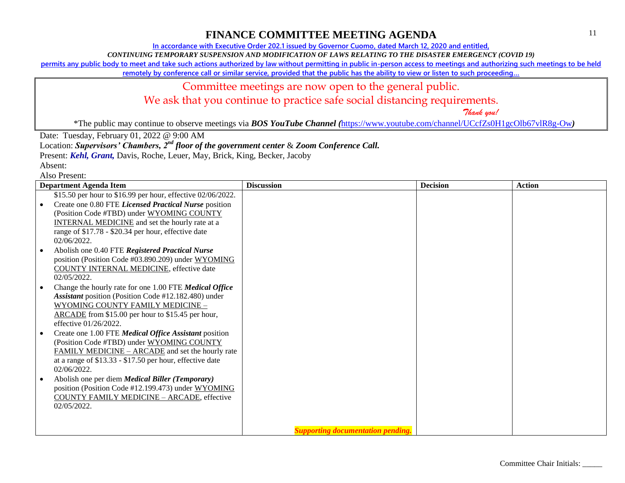**In accordance with Executive Order 202.1 issued by Governor Cuomo, dated March 12, 2020 and entitled,**

*CONTINUING TEMPORARY SUSPENSION AND MODIFICATION OF LAWS RELATING TO THE DISASTER EMERGENCY (COVID 19)*

**permits any public body to meet and take such actions authorized by law without permitting in public in-person access to meetings and authorizing such meetings to be held** 

**remotely by conference call or similar service, provided that the public has the ability to view or listen to such proceeding…**

## Committee meetings are now open to the general public.

We ask that you continue to practice safe social distancing requirements.

 *Thank you!*

\*The public may continue to observe meetings via *BOS YouTube Channel (*<https://www.youtube.com/channel/UCcfZs0H1gcOlb67vlR8g-Ow>*)*

Date: Tuesday, February 01, 2022 @ 9:00 AM

Location: *Supervisors' Chambers, 2nd floor of the government center* & *Zoom Conference Call.*

Present: *Kehl, Grant,* Davis, Roche, Leuer, May, Brick, King, Becker, Jacoby

Absent:

| <b>Department Agenda Item</b>                               | <b>Discussion</b>                        | <b>Decision</b> | <b>Action</b> |
|-------------------------------------------------------------|------------------------------------------|-----------------|---------------|
| \$15.50 per hour to \$16.99 per hour, effective 02/06/2022. |                                          |                 |               |
| Create one 0.80 FTE Licensed Practical Nurse position       |                                          |                 |               |
| (Position Code #TBD) under WYOMING COUNTY                   |                                          |                 |               |
| <b>INTERNAL MEDICINE</b> and set the hourly rate at a       |                                          |                 |               |
| range of \$17.78 - \$20.34 per hour, effective date         |                                          |                 |               |
| 02/06/2022.                                                 |                                          |                 |               |
| Abolish one 0.40 FTE Registered Practical Nurse             |                                          |                 |               |
| position (Position Code #03.890.209) under WYOMING          |                                          |                 |               |
| <b>COUNTY INTERNAL MEDICINE</b> , effective date            |                                          |                 |               |
| $02/05/2022$ .                                              |                                          |                 |               |
| Change the hourly rate for one 1.00 FTE Medical Office      |                                          |                 |               |
| Assistant position (Position Code #12.182.480) under        |                                          |                 |               |
| WYOMING COUNTY FAMILY MEDICINE -                            |                                          |                 |               |
| ARCADE from \$15.00 per hour to \$15.45 per hour,           |                                          |                 |               |
| effective 01/26/2022.                                       |                                          |                 |               |
| Create one 1.00 FTE Medical Office Assistant position       |                                          |                 |               |
| (Position Code #TBD) under WYOMING COUNTY                   |                                          |                 |               |
| FAMILY MEDICINE – ARCADE and set the hourly rate            |                                          |                 |               |
| at a range of $$13.33 - $17.50$ per hour, effective date    |                                          |                 |               |
| 02/06/2022.                                                 |                                          |                 |               |
| Abolish one per diem Medical Biller (Temporary)             |                                          |                 |               |
| position (Position Code #12.199.473) under WYOMING          |                                          |                 |               |
| <b>COUNTY FAMILY MEDICINE - ARCADE, effective</b>           |                                          |                 |               |
| 02/05/2022.                                                 |                                          |                 |               |
|                                                             |                                          |                 |               |
|                                                             |                                          |                 |               |
|                                                             | <b>Supporting documentation pending.</b> |                 |               |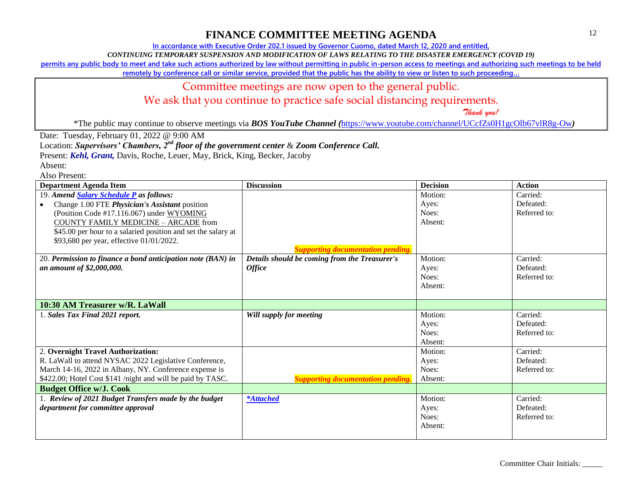**In accordance with Executive Order 202.1 issued by Governor Cuomo, dated March 12, 2020 and entitled,**

*CONTINUING TEMPORARY SUSPENSION AND MODIFICATION OF LAWS RELATING TO THE DISASTER EMERGENCY (COVID 19)*

**permits any public body to meet and take such actions authorized by law without permitting in public in-person access to meetings and authorizing such meetings to be held** 

**remotely by conference call or similar service, provided that the public has the ability to view or listen to such proceeding…**

#### Committee meetings are now open to the general public.

We ask that you continue to practice safe social distancing requirements.

 *Thank you!*

\*The public may continue to observe meetings via *BOS YouTube Channel (*<https://www.youtube.com/channel/UCcfZs0H1gcOlb67vlR8g-Ow>*)*

Date: Tuesday, February 01, 2022 @ 9:00 AM

Location: *Supervisors' Chambers, 2nd floor of the government center* & *Zoom Conference Call.*

Present: *Kehl, Grant,* Davis, Roche, Leuer, May, Brick, King, Becker, Jacoby

Absent:

| <b>Department Agenda Item</b>                                 | <b>Discussion</b>                             | <b>Decision</b> | <b>Action</b> |
|---------------------------------------------------------------|-----------------------------------------------|-----------------|---------------|
| 19. Amend Salary Schedule P as follows:                       |                                               | Motion:         | Carried:      |
| Change 1.00 FTE <i>Physician's Assistant</i> position         |                                               | Ayes:           | Defeated:     |
| (Position Code #17.116.067) under WYOMING                     |                                               | Noes:           | Referred to:  |
| <b>COUNTY FAMILY MEDICINE - ARCADE from</b>                   |                                               | Absent:         |               |
| \$45.00 per hour to a salaried position and set the salary at |                                               |                 |               |
| \$93,680 per year, effective 01/01/2022.                      |                                               |                 |               |
|                                                               | <b>Supporting documentation pending.</b>      |                 |               |
| 20. Permission to finance a bond anticipation note (BAN) in   | Details should be coming from the Treasurer's | Motion:         | Carried:      |
| an amount of \$2,000,000.                                     | <b>Office</b>                                 | Ayes:           | Defeated:     |
|                                                               |                                               | Noes:           | Referred to:  |
|                                                               |                                               | Absent:         |               |
|                                                               |                                               |                 |               |
| 10:30 AM Treasurer w/R. LaWall                                |                                               |                 |               |
| 1. Sales Tax Final 2021 report.                               | Will supply for meeting                       | Motion:         | Carried:      |
|                                                               |                                               | Ayes:           | Defeated:     |
|                                                               |                                               | Noes:           | Referred to:  |
|                                                               |                                               | Absent:         |               |
| 2. Overnight Travel Authorization:                            |                                               | Motion:         | Carried:      |
| R. LaWall to attend NYSAC 2022 Legislative Conference,        |                                               | Ayes:           | Defeated:     |
| March 14-16, 2022 in Albany, NY. Conference expense is        |                                               | Noes:           | Referred to:  |
| \$422.00; Hotel Cost \$141 /night and will be paid by TASC.   | <b>Supporting documentation pending.</b>      | Absent:         |               |
| <b>Budget Office w/J. Cook</b>                                |                                               |                 |               |
| 1. Review of 2021 Budget Transfers made by the budget         | <i>*Attached</i>                              | Motion:         | Carried:      |
| department for committee approval                             |                                               | Ayes:           | Defeated:     |
|                                                               |                                               | Noes:           | Referred to:  |
|                                                               |                                               | Absent:         |               |
|                                                               |                                               |                 |               |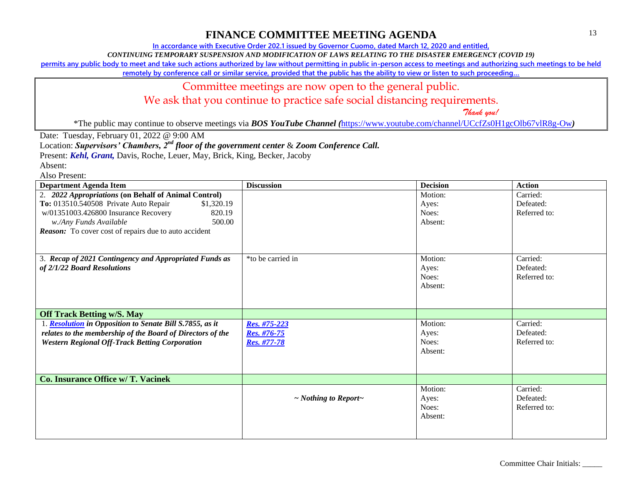**In accordance with Executive Order 202.1 issued by Governor Cuomo, dated March 12, 2020 and entitled,**

*CONTINUING TEMPORARY SUSPENSION AND MODIFICATION OF LAWS RELATING TO THE DISASTER EMERGENCY (COVID 19)*

**permits any public body to meet and take such actions authorized by law without permitting in public in-person access to meetings and authorizing such meetings to be held** 

**remotely by conference call or similar service, provided that the public has the ability to view or listen to such proceeding…**

### Committee meetings are now open to the general public.

We ask that you continue to practice safe social distancing requirements.

 *Thank you!*

\*The public may continue to observe meetings via *BOS YouTube Channel (*<https://www.youtube.com/channel/UCcfZs0H1gcOlb67vlR8g-Ow>*)*

Date: Tuesday, February 01, 2022 @ 9:00 AM

Location: *Supervisors' Chambers, 2nd floor of the government center* & *Zoom Conference Call.*

Present: *Kehl, Grant,* Davis, Roche, Leuer, May, Brick, King, Becker, Jacoby

Absent:

| <b>Department Agenda Item</b>                                | <b>Discussion</b>               | <b>Decision</b> | <b>Action</b> |
|--------------------------------------------------------------|---------------------------------|-----------------|---------------|
| 2. 2022 Appropriations (on Behalf of Animal Control)         |                                 | Motion:         | Carried:      |
| To: 013510.540508 Private Auto Repair<br>\$1,320.19          |                                 | Ayes:           | Defeated:     |
| 820.19<br>w/01351003.426800 Insurance Recovery               |                                 | Noes:           | Referred to:  |
| 500.00<br>w./Any Funds Available                             |                                 | Absent:         |               |
| <b>Reason:</b> To cover cost of repairs due to auto accident |                                 |                 |               |
|                                                              |                                 |                 |               |
|                                                              |                                 |                 |               |
| 3. Recap of 2021 Contingency and Appropriated Funds as       | *to be carried in               | Motion:         | Carried:      |
| of 2/1/22 Board Resolutions                                  |                                 | Ayes:           | Defeated:     |
|                                                              |                                 | Noes:           | Referred to:  |
|                                                              |                                 | Absent:         |               |
|                                                              |                                 |                 |               |
|                                                              |                                 |                 |               |
| <b>Off Track Betting w/S. May</b>                            |                                 |                 |               |
| 1. Resolution in Opposition to Senate Bill S.7855, as it     | Res. #75-223                    | Motion:         | Carried:      |
| relates to the membership of the Board of Directors of the   | Res. #76-75                     | Ayes:           | Defeated:     |
| <b>Western Regional Off-Track Betting Corporation</b>        | Res. #77-78                     | Noes:           | Referred to:  |
|                                                              |                                 | Absent:         |               |
|                                                              |                                 |                 |               |
|                                                              |                                 |                 |               |
| Co. Insurance Office w/ T. Vacinek                           |                                 |                 |               |
|                                                              |                                 | Motion:         | Carried:      |
|                                                              | $\sim$ Nothing to Report $\sim$ | Ayes:           | Defeated:     |
|                                                              |                                 | Noes:           | Referred to:  |
|                                                              |                                 | Absent:         |               |
|                                                              |                                 |                 |               |
|                                                              |                                 |                 |               |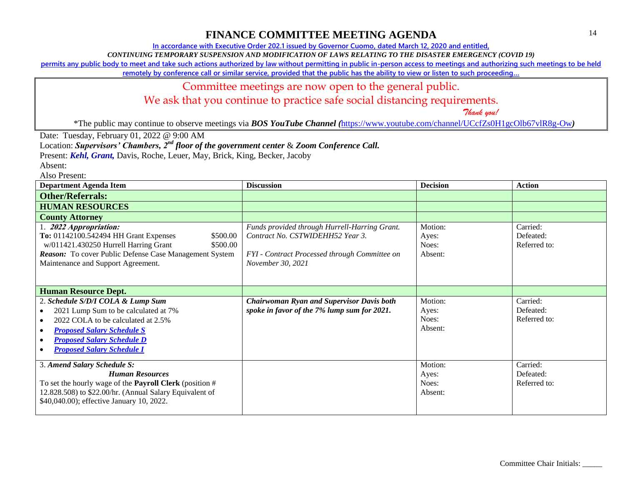**In accordance with Executive Order 202.1 issued by Governor Cuomo, dated March 12, 2020 and entitled,**

*CONTINUING TEMPORARY SUSPENSION AND MODIFICATION OF LAWS RELATING TO THE DISASTER EMERGENCY (COVID 19)*

**permits any public body to meet and take such actions authorized by law without permitting in public in-person access to meetings and authorizing such meetings to be held** 

**remotely by conference call or similar service, provided that the public has the ability to view or listen to such proceeding…**

### Committee meetings are now open to the general public.

We ask that you continue to practice safe social distancing requirements.

 *Thank you!*

\*The public may continue to observe meetings via *BOS YouTube Channel (*<https://www.youtube.com/channel/UCcfZs0H1gcOlb67vlR8g-Ow>*)*

Date: Tuesday, February 01, 2022 @ 9:00 AM

Location: *Supervisors' Chambers, 2nd floor of the government center* & *Zoom Conference Call.*

Present: *Kehl, Grant,* Davis, Roche, Leuer, May, Brick, King, Becker, Jacoby

Absent:

| <b>Department Agenda Item</b>                                                                                                                                                                                                               | <b>Discussion</b>                                                                                                                                       | <b>Decision</b>                      | <b>Action</b>                         |
|---------------------------------------------------------------------------------------------------------------------------------------------------------------------------------------------------------------------------------------------|---------------------------------------------------------------------------------------------------------------------------------------------------------|--------------------------------------|---------------------------------------|
| <b>Other/Referrals:</b>                                                                                                                                                                                                                     |                                                                                                                                                         |                                      |                                       |
| <b>HUMAN RESOURCES</b>                                                                                                                                                                                                                      |                                                                                                                                                         |                                      |                                       |
| <b>County Attorney</b>                                                                                                                                                                                                                      |                                                                                                                                                         |                                      |                                       |
| 1. 2022 Appropriation:<br>To: 01142100.542494 HH Grant Expenses<br>\$500.00<br>w/011421.430250 Hurrell Harring Grant<br>\$500.00<br>Reason: To cover Public Defense Case Management System<br>Maintenance and Support Agreement.            | Funds provided through Hurrell-Harring Grant.<br>Contract No. CSTWIDEHH52 Year 3.<br>FYI - Contract Processed through Committee on<br>November 30, 2021 | Motion:<br>Ayes:<br>Noes:<br>Absent: | Carried:<br>Defeated:<br>Referred to: |
| <b>Human Resource Dept.</b>                                                                                                                                                                                                                 |                                                                                                                                                         |                                      |                                       |
| 2. Schedule S/D/I COLA & Lump Sum<br>2021 Lump Sum to be calculated at 7%<br>2022 COLA to be calculated at 2.5%<br>$\bullet$<br><b>Proposed Salary Schedule S</b><br><b>Proposed Salary Schedule D</b><br><b>Proposed Salary Schedule I</b> | <b>Chairwoman Ryan and Supervisor Davis both</b><br>spoke in favor of the 7% lump sum for 2021.                                                         | Motion:<br>Ayes:<br>Noes:<br>Absent: | Carried:<br>Defeated:<br>Referred to: |
| 3. Amend Salary Schedule S:<br><b>Human Resources</b><br>To set the hourly wage of the <b>Payroll Clerk</b> (position $#$<br>12.828.508) to \$22.00/hr. (Annual Salary Equivalent of<br>\$40,040.00); effective January 10, 2022.           |                                                                                                                                                         | Motion:<br>Ayes:<br>Noes:<br>Absent: | Carried:<br>Defeated:<br>Referred to: |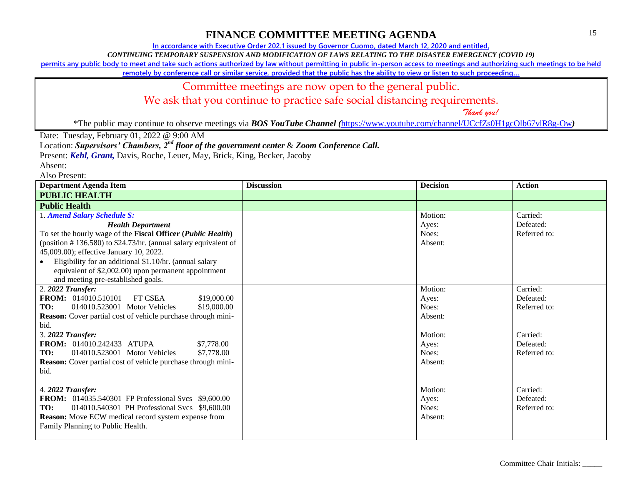**In accordance with Executive Order 202.1 issued by Governor Cuomo, dated March 12, 2020 and entitled,**

*CONTINUING TEMPORARY SUSPENSION AND MODIFICATION OF LAWS RELATING TO THE DISASTER EMERGENCY (COVID 19)*

**permits any public body to meet and take such actions authorized by law without permitting in public in-person access to meetings and authorizing such meetings to be held** 

**remotely by conference call or similar service, provided that the public has the ability to view or listen to such proceeding…**

### Committee meetings are now open to the general public.

We ask that you continue to practice safe social distancing requirements.

 *Thank you!*

\*The public may continue to observe meetings via *BOS YouTube Channel (*<https://www.youtube.com/channel/UCcfZs0H1gcOlb67vlR8g-Ow>*)*

Date: Tuesday, February 01, 2022 @ 9:00 AM

Location: *Supervisors' Chambers, 2nd floor of the government center* & *Zoom Conference Call.*

Present: *Kehl, Grant,* Davis, Roche, Leuer, May, Brick, King, Becker, Jacoby

Absent:

| <b>Department Agenda Item</b>                                                                                                                                                                                                                                                                                                                                                                      | <b>Discussion</b> | <b>Decision</b>                      | <b>Action</b>                         |
|----------------------------------------------------------------------------------------------------------------------------------------------------------------------------------------------------------------------------------------------------------------------------------------------------------------------------------------------------------------------------------------------------|-------------------|--------------------------------------|---------------------------------------|
| <b>PUBLIC HEALTH</b>                                                                                                                                                                                                                                                                                                                                                                               |                   |                                      |                                       |
| <b>Public Health</b>                                                                                                                                                                                                                                                                                                                                                                               |                   |                                      |                                       |
| 1. Amend Salary Schedule S:<br><b>Health Department</b><br>To set the hourly wage of the Fiscal Officer (Public Health)<br>(position $\#$ 136.580) to \$24.73/hr. (annual salary equivalent of<br>45,009.00); effective January 10, 2022.<br>Eligibility for an additional \$1.10/hr. (annual salary<br>equivalent of \$2,002.00) upon permanent appointment<br>and meeting pre-established goals. |                   | Motion:<br>Ayes:<br>Noes:<br>Absent: | Carried:<br>Defeated:<br>Referred to: |
| 2. 2022 Transfer:<br><b>FROM:</b> 014010.510101<br><b>FT CSEA</b><br>\$19,000.00<br>TO:<br>014010.523001 Motor Vehicles<br>\$19,000.00<br>Reason: Cover partial cost of vehicle purchase through mini-<br>bid.                                                                                                                                                                                     |                   | Motion:<br>Ayes:<br>Noes:<br>Absent: | Carried:<br>Defeated:<br>Referred to: |
| 3. 2022 Transfer:<br><b>FROM:</b> 014010.242433 ATUPA<br>\$7,778.00<br>TO:<br>014010.523001 Motor Vehicles<br>\$7,778.00<br>Reason: Cover partial cost of vehicle purchase through mini-<br>bid.                                                                                                                                                                                                   |                   | Motion:<br>Ayes:<br>Noes:<br>Absent: | Carried:<br>Defeated:<br>Referred to: |
| 4. 2022 Transfer:<br><b>FROM:</b> 014035.540301 FP Professional Svcs \$9,600.00<br>014010.540301 PH Professional Svcs \$9,600.00<br>TO:<br>Reason: Move ECW medical record system expense from<br>Family Planning to Public Health.                                                                                                                                                                |                   | Motion:<br>Ayes:<br>Noes:<br>Absent: | Carried:<br>Defeated:<br>Referred to: |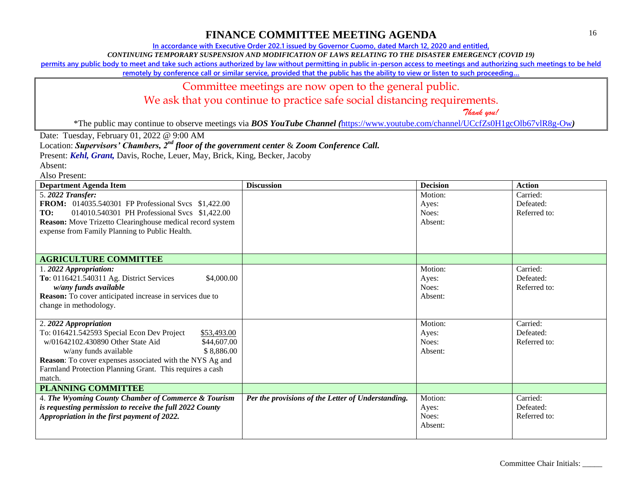**In accordance with Executive Order 202.1 issued by Governor Cuomo, dated March 12, 2020 and entitled,**

*CONTINUING TEMPORARY SUSPENSION AND MODIFICATION OF LAWS RELATING TO THE DISASTER EMERGENCY (COVID 19)*

**permits any public body to meet and take such actions authorized by law without permitting in public in-person access to meetings and authorizing such meetings to be held** 

**remotely by conference call or similar service, provided that the public has the ability to view or listen to such proceeding…**

### Committee meetings are now open to the general public.

We ask that you continue to practice safe social distancing requirements.

 *Thank you!*

\*The public may continue to observe meetings via *BOS YouTube Channel (*<https://www.youtube.com/channel/UCcfZs0H1gcOlb67vlR8g-Ow>*)*

Date: Tuesday, February 01, 2022 @ 9:00 AM

Location: *Supervisors' Chambers, 2nd floor of the government center* & *Zoom Conference Call.*

Present: *Kehl, Grant,* Davis, Roche, Leuer, May, Brick, King, Becker, Jacoby

Absent:

| <b>Department Agenda Item</b>                                    | <b>Discussion</b>                                  | <b>Decision</b> | <b>Action</b> |
|------------------------------------------------------------------|----------------------------------------------------|-----------------|---------------|
| 5.2022 Transfer:                                                 |                                                    | Motion:         | Carried:      |
| <b>FROM:</b> 014035.540301 FP Professional Svcs \$1,422.00       |                                                    | Ayes:           | Defeated:     |
| 014010.540301 PH Professional Svcs \$1,422.00<br>TO:             |                                                    | Noes:           | Referred to:  |
| <b>Reason:</b> Move Trizetto Clearinghouse medical record system |                                                    | Absent:         |               |
| expense from Family Planning to Public Health.                   |                                                    |                 |               |
|                                                                  |                                                    |                 |               |
|                                                                  |                                                    |                 |               |
| <b>AGRICULTURE COMMITTEE</b>                                     |                                                    |                 |               |
| 1.2022 Appropriation:                                            |                                                    | Motion:         | Carried:      |
| To: 0116421.540311 Ag. District Services<br>\$4,000.00           |                                                    | Ayes:           | Defeated:     |
| w/any funds available                                            |                                                    | Noes:           | Referred to:  |
| <b>Reason:</b> To cover anticipated increase in services due to  |                                                    | Absent:         |               |
| change in methodology.                                           |                                                    |                 |               |
|                                                                  |                                                    |                 |               |
| 2. 2022 Appropriation                                            |                                                    | Motion:         | Carried:      |
| To: 016421.542593 Special Econ Dev Project<br>\$53,493.00        |                                                    | Ayes:           | Defeated:     |
| w/01642102.430890 Other State Aid<br>\$44,607.00                 |                                                    | Noes:           | Referred to:  |
| \$8,886.00<br>w/any funds available                              |                                                    | Absent:         |               |
| Reason: To cover expenses associated with the NYS Ag and         |                                                    |                 |               |
| Farmland Protection Planning Grant. This requires a cash         |                                                    |                 |               |
| match.                                                           |                                                    |                 |               |
| <b>PLANNING COMMITTEE</b>                                        |                                                    |                 |               |
| 4. The Wyoming County Chamber of Commerce & Tourism              | Per the provisions of the Letter of Understanding. | Motion:         | Carried:      |
| is requesting permission to receive the full 2022 County         |                                                    | Ayes:           | Defeated:     |
| Appropriation in the first payment of 2022.                      |                                                    | Noes:           | Referred to:  |
|                                                                  |                                                    | Absent:         |               |
|                                                                  |                                                    |                 |               |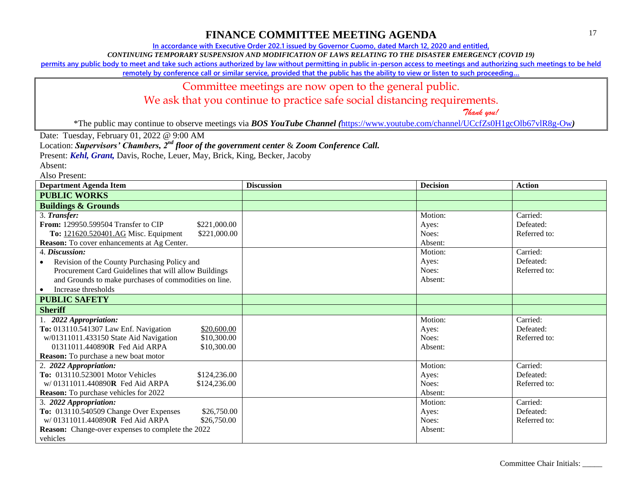**In accordance with Executive Order 202.1 issued by Governor Cuomo, dated March 12, 2020 and entitled,**

*CONTINUING TEMPORARY SUSPENSION AND MODIFICATION OF LAWS RELATING TO THE DISASTER EMERGENCY (COVID 19)*

**permits any public body to meet and take such actions authorized by law without permitting in public in-person access to meetings and authorizing such meetings to be held** 

**remotely by conference call or similar service, provided that the public has the ability to view or listen to such proceeding…**

### Committee meetings are now open to the general public.

We ask that you continue to practice safe social distancing requirements.

 *Thank you!*

\*The public may continue to observe meetings via *BOS YouTube Channel (*<https://www.youtube.com/channel/UCcfZs0H1gcOlb67vlR8g-Ow>*)*

Date: Tuesday, February 01, 2022 @ 9:00 AM

Location: *Supervisors' Chambers, 2nd floor of the government center* & *Zoom Conference Call.*

Present: *Kehl, Grant,* Davis, Roche, Leuer, May, Brick, King, Becker, Jacoby

Absent:

| <b>Department Agenda Item</b>                             | <b>Discussion</b> | <b>Decision</b> | <b>Action</b> |
|-----------------------------------------------------------|-------------------|-----------------|---------------|
| <b>PUBLIC WORKS</b>                                       |                   |                 |               |
| <b>Buildings &amp; Grounds</b>                            |                   |                 |               |
| 3. Transfer:                                              |                   | Motion:         | Carried:      |
| From: 129950.599504 Transfer to CIP<br>\$221,000.00       |                   | Ayes:           | Defeated:     |
| \$221,000.00<br>To: 121620.520401.AG Misc. Equipment      |                   | Noes:           | Referred to:  |
| Reason: To cover enhancements at Ag Center.               |                   | Absent:         |               |
| 4. Discussion:                                            |                   | Motion:         | Carried:      |
| Revision of the County Purchasing Policy and<br>$\bullet$ |                   | Ayes:           | Defeated:     |
| Procurement Card Guidelines that will allow Buildings     |                   | Noes:           | Referred to:  |
| and Grounds to make purchases of commodities on line.     |                   | Absent:         |               |
| Increase thresholds<br>$\bullet$                          |                   |                 |               |
| <b>PUBLIC SAFETY</b>                                      |                   |                 |               |
| <b>Sheriff</b>                                            |                   |                 |               |
| 1. 2022 Appropriation:                                    |                   | Motion:         | Carried:      |
| To: 013110.541307 Law Enf. Navigation<br>\$20,600.00      |                   | Ayes:           | Defeated:     |
| w/01311011.433150 State Aid Navigation<br>\$10,300.00     |                   | Noes:           | Referred to:  |
| 01311011.440890R Fed Aid ARPA<br>\$10,300.00              |                   | Absent:         |               |
| <b>Reason:</b> To purchase a new boat motor               |                   |                 |               |
| 2. 2022 Appropriation:                                    |                   | Motion:         | Carried:      |
| To: 013110.523001 Motor Vehicles<br>\$124,236.00          |                   | Ayes:           | Defeated:     |
| w/01311011.440890R Fed Aid ARPA<br>\$124,236.00           |                   | Noes:           | Referred to:  |
| <b>Reason:</b> To purchase vehicles for 2022              |                   | Absent:         |               |
| 3. 2022 Appropriation:                                    |                   | Motion:         | Carried:      |
| To: 013110.540509 Change Over Expenses<br>\$26,750.00     |                   | Ayes:           | Defeated:     |
| $w/01311011.440890R$ Fed Aid ARPA<br>\$26,750.00          |                   | Noes:           | Referred to:  |
| <b>Reason:</b> Change-over expenses to complete the 2022  |                   | Absent:         |               |
| vehicles                                                  |                   |                 |               |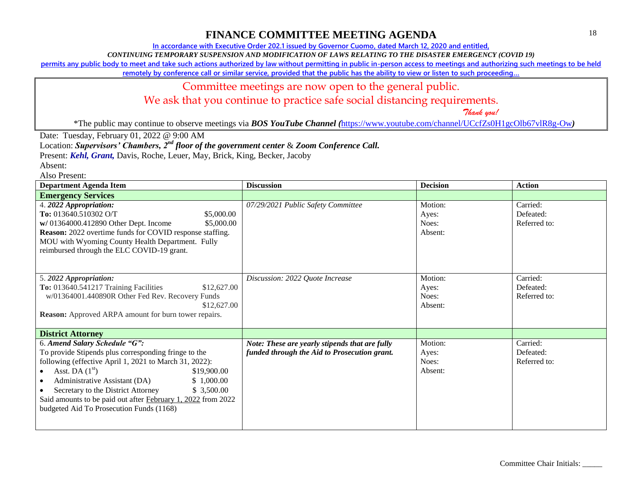**In accordance with Executive Order 202.1 issued by Governor Cuomo, dated March 12, 2020 and entitled,**

*CONTINUING TEMPORARY SUSPENSION AND MODIFICATION OF LAWS RELATING TO THE DISASTER EMERGENCY (COVID 19)*

**permits any public body to meet and take such actions authorized by law without permitting in public in-person access to meetings and authorizing such meetings to be held** 

**remotely by conference call or similar service, provided that the public has the ability to view or listen to such proceeding…**

### Committee meetings are now open to the general public.

We ask that you continue to practice safe social distancing requirements.

 *Thank you!*

\*The public may continue to observe meetings via *BOS YouTube Channel (*<https://www.youtube.com/channel/UCcfZs0H1gcOlb67vlR8g-Ow>*)*

Date: Tuesday, February 01, 2022 @ 9:00 AM

Location: *Supervisors' Chambers, 2nd floor of the government center* & *Zoom Conference Call.*

Present: *Kehl, Grant,* Davis, Roche, Leuer, May, Brick, King, Becker, Jacoby

Absent:

| <b>Department Agenda Item</b>                                                                                                                                                                                                                                                                                                                                                                     | <b>Discussion</b>                                                                              | <b>Decision</b>                      | <b>Action</b>                         |
|---------------------------------------------------------------------------------------------------------------------------------------------------------------------------------------------------------------------------------------------------------------------------------------------------------------------------------------------------------------------------------------------------|------------------------------------------------------------------------------------------------|--------------------------------------|---------------------------------------|
| <b>Emergency Services</b>                                                                                                                                                                                                                                                                                                                                                                         |                                                                                                |                                      |                                       |
| 4. 2022 Appropriation:<br>To: 013640.510302 O/T<br>\$5,000.00<br>w/ 01364000.412890 Other Dept. Income<br>\$5,000.00<br><b>Reason:</b> 2022 overtime funds for COVID response staffing.<br>MOU with Wyoming County Health Department. Fully<br>reimbursed through the ELC COVID-19 grant.                                                                                                         | 07/29/2021 Public Safety Committee                                                             | Motion:<br>Ayes:<br>Noes:<br>Absent: | Carried:<br>Defeated:<br>Referred to: |
| 5. 2022 Appropriation:<br>To: 013640.541217 Training Facilities<br>\$12,627.00<br>w/01364001.440890R Other Fed Rev. Recovery Funds<br>\$12,627.00<br><b>Reason:</b> Approved ARPA amount for burn tower repairs.                                                                                                                                                                                  | Discussion: 2022 Quote Increase                                                                | Motion:<br>Ayes:<br>Noes:<br>Absent: | Carried:<br>Defeated:<br>Referred to: |
| <b>District Attorney</b>                                                                                                                                                                                                                                                                                                                                                                          |                                                                                                |                                      |                                       |
| 6. Amend Salary Schedule "G":<br>To provide Stipends plus corresponding fringe to the<br>following (effective April 1, 2021 to March 31, 2022):<br>Asst. DA $(1st)$<br>\$19,900.00<br>Administrative Assistant (DA)<br>\$1,000.00<br>Secretary to the District Attorney<br>\$3,500.00<br>Said amounts to be paid out after February 1, 2022 from 2022<br>budgeted Aid To Prosecution Funds (1168) | Note: These are yearly stipends that are fully<br>funded through the Aid to Prosecution grant. | Motion:<br>Ayes:<br>Noes:<br>Absent: | Carried:<br>Defeated:<br>Referred to: |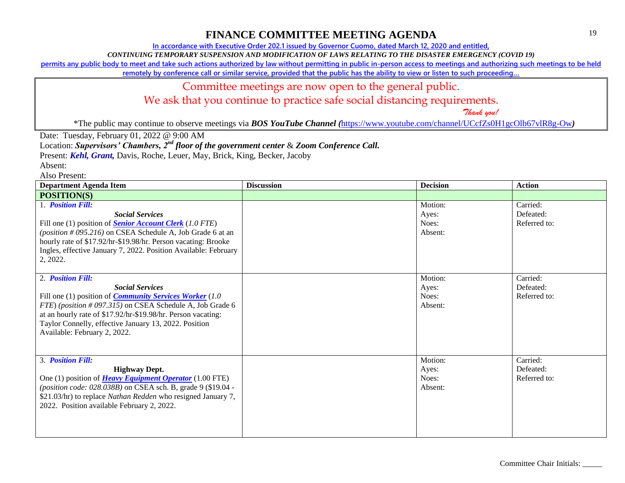**In accordance with Executive Order 202.1 issued by Governor Cuomo, dated March 12, 2020 and entitled,**

*CONTINUING TEMPORARY SUSPENSION AND MODIFICATION OF LAWS RELATING TO THE DISASTER EMERGENCY (COVID 19)*

**permits any public body to meet and take such actions authorized by law without permitting in public in-person access to meetings and authorizing such meetings to be held** 

**remotely by conference call or similar service, provided that the public has the ability to view or listen to such proceeding…**

### Committee meetings are now open to the general public.

We ask that you continue to practice safe social distancing requirements.

 *Thank you!*

\*The public may continue to observe meetings via *BOS YouTube Channel (*<https://www.youtube.com/channel/UCcfZs0H1gcOlb67vlR8g-Ow>*)*

Date: Tuesday, February 01, 2022 @ 9:00 AM

Location: *Supervisors' Chambers, 2nd floor of the government center* & *Zoom Conference Call.*

Present: *Kehl, Grant,* Davis, Roche, Leuer, May, Brick, King, Becker, Jacoby

Absent:

| <b>Department Agenda Item</b>                                                                                                                                                                                                                                                                                                      | <b>Discussion</b> | <b>Decision</b>                      | <b>Action</b>                         |
|------------------------------------------------------------------------------------------------------------------------------------------------------------------------------------------------------------------------------------------------------------------------------------------------------------------------------------|-------------------|--------------------------------------|---------------------------------------|
| <b>POSITION(S)</b>                                                                                                                                                                                                                                                                                                                 |                   |                                      |                                       |
| 1. <b>Position Fill:</b><br><b>Social Services</b><br>Fill one (1) position of <b>Senior Account Clerk</b> (1.0 FTE)<br>(position #095.216) on CSEA Schedule A, Job Grade 6 at an<br>hourly rate of \$17.92/hr-\$19.98/hr. Person vacating: Brooke<br>Ingles, effective January 7, 2022. Position Available: February<br>2, 2022.  |                   | Motion:<br>Ayes:<br>Noes:<br>Absent: | Carried:<br>Defeated:<br>Referred to: |
| 2. Position Fill:<br><b>Social Services</b><br>Fill one (1) position of <i>Community Services Worker</i> (1.0<br>FTE) (position #097.315) on CSEA Schedule A, Job Grade 6<br>at an hourly rate of \$17.92/hr-\$19.98/hr. Person vacating:<br>Taylor Connelly, effective January 13, 2022. Position<br>Available: February 2, 2022. |                   | Motion:<br>Ayes:<br>Noes:<br>Absent: | Carried:<br>Defeated:<br>Referred to: |
| 3. Position Fill:<br><b>Highway Dept.</b><br>One (1) position of <b>Heavy Equipment Operator</b> (1.00 FTE)<br>(position code: 028.038B) on CSEA sch. B, grade 9 (\$19.04 -<br>\$21.03/hr) to replace Nathan Redden who resigned January 7,<br>2022. Position available February 2, 2022.                                          |                   | Motion:<br>Ayes:<br>Noes:<br>Absent: | Carried:<br>Defeated:<br>Referred to: |